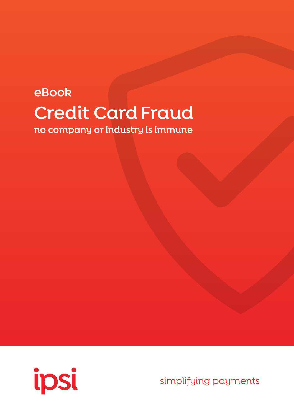## **eBook Credit Card Fraud**

**no company or industry is immune**



simplifying payments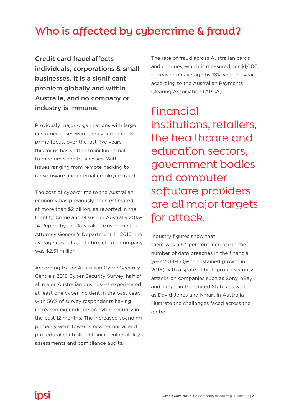#### **Who is affected by cybercrime & fraud?**

Credit card fraud affects individuals, corporations & small businesses. It is a significant problem globally and within Australia, and no company or industry is immune.

Previously major organizations with large customer bases were the cybercriminals prime focus, over the last five years this focus has shifted to include small to medium sized businesses. With issues ranging from remote hacking to ransomware and internal employee fraud.

The cost of cybercrime to the Australian economy has previously been estimated at more than \$2 billion, as reported in the Identity Crime and Misuse in Australia 2013- 14 Report by the Australian Government's Attorney General's Department. In 2016, the average cost of a data breach to a company was \$2.51 million.

According to the Australian Cyber Security Centre's 2015 Cyber Security Survey, half of all major Australian businesses experienced at least one cyber incident in the past year, with 56% of survey respondents having increased expenditure on cyber security in the past 12 months. The increased spending primarily went towards new technical and procedural controls, obtaining vulnerability assessments and compliance audits.

The rate of fraud across Australian cards and cheques, which is measured per \$1,000, increased on average by 18% year-on-year, according to the Australian Payments Clearing Association (APCA).

Financial institutions, retailers, the healthcare and education sectors, government bodies and computer software providers are all major targets for attack.

Industry figures show that

there was a 64 per cent increase in the number of data breaches in the financial year 2014-15 (with sustained growth in 2016) with a spate of high-profile security attacks on companies such as Sony, eBay and Target in the United States as well as David Jones and Kmart in Australia illustrate the challenges faced across the globe.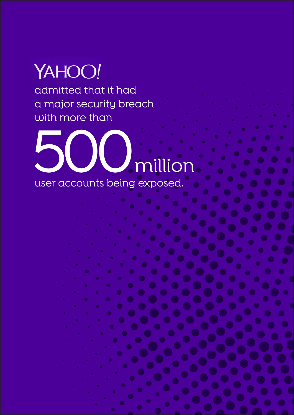# YAHOO!

admitted that it had a major security breach with more than

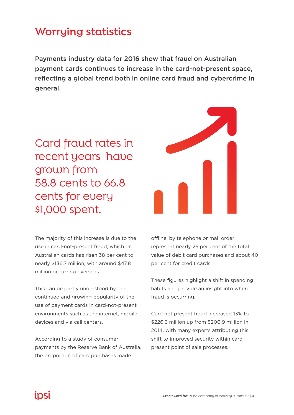#### **Worrying statistics**

Payments industry data for 2016 show that fraud on Australian payment cards continues to increase in the card-not-present space, reflecting a global trend both in online card fraud and cybercrime in general.

Card fraud rates in recent years have grown from 58.8 cents to 66.8 cents for every \$1,000 spent.



The majority of this increase is due to the rise in card-not-present fraud, which on Australian cards has risen 38 per cent to nearly \$136.7 million, with around \$47.8 million occurring overseas.

This can be partly understood by the continued and growing popularity of the use of payment cards in card-not-present environments such as the internet, mobile devices and via call centers.

According to a study of consumer payments by the Reserve Bank of Australia, the proportion of card purchases made

offline, by telephone or mail order represent nearly 25 per cent of the total value of debit card purchases and about 40 per cent for credit cards.

These figures highlight a shift in spending habits and provide an insight into where fraud is occurring.

Card not present fraud increased 13% to \$226.3 million up from \$200.9 million in 2014, with many experts attributing this shift to improved security within card present point of sale processes.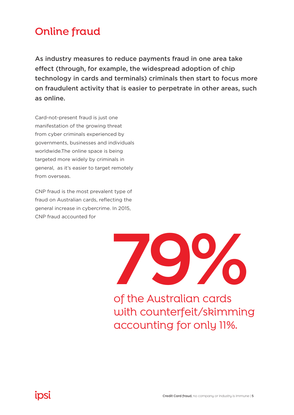#### **Online fraud**

As industry measures to reduce payments fraud in one area take effect (through, for example, the widespread adoption of chip technology in cards and terminals) criminals then start to focus more on fraudulent activity that is easier to perpetrate in other areas, such as online.

Card-not-present fraud is just one manifestation of the growing threat from cyber criminals experienced by governments, businesses and individuals worldwide.The online space is being targeted more widely by criminals in general, as it's easier to target remotely from overseas.

CNP fraud is the most prevalent type of fraud on Australian cards, reflecting the general increase in cybercrime. In 2015, CNP fraud accounted for



of the Australian cards with counterfeit/skimming accounting for only 11%.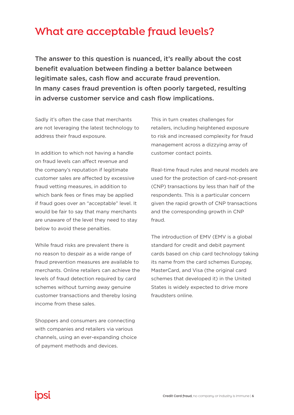#### **What are acceptable fraud levels?**

The answer to this question is nuanced, it's really about the cost benefit evaluation between finding a better balance between legitimate sales, cash flow and accurate fraud prevention. In many cases fraud prevention is often poorly targeted, resulting in adverse customer service and cash flow implications.

Sadly it's often the case that merchants are not leveraging the latest technology to address their fraud exposure.

In addition to which not having a handle on fraud levels can affect revenue and the company's reputation if legitimate customer sales are affected by excessive fraud vetting measures, in addition to which bank fees or fines may be applied if fraud goes over an "acceptable" level. It would be fair to say that many merchants are unaware of the level they need to stay below to avoid these penalties.

While fraud risks are prevalent there is no reason to despair as a wide range of fraud prevention measures are available to merchants. Online retailers can achieve the levels of fraud detection required by card schemes without turning away genuine customer transactions and thereby losing income from these sales.

Shoppers and consumers are connecting with companies and retailers via various channels, using an ever-expanding choice of payment methods and devices.

This in turn creates challenges for retailers, including heightened exposure to risk and increased complexity for fraud management across a dizzying array of customer contact points.

Real-time fraud rules and neural models are used for the protection of card-not-present (CNP) transactions by less than half of the respondents. This is a particular concern given the rapid growth of CNP transactions and the corresponding growth in CNP fraud.

The introduction of EMV (EMV is a global standard for credit and debit payment cards based on chip card technology taking its name from the card schemes Europay, MasterCard, and Visa (the original card schemes that developed it) in the United States is widely expected to drive more fraudsters online.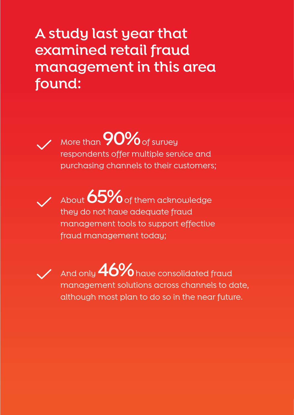### **A study last year that examined retail fraud management in this area found:**



More than **90%** of survey respondents offer multiple service and purchasing channels to their customers;



About **65%** of them acknowledge they do not have adequate fraud management tools to support effective fraud management today;



And only **46%** have consolidated fraud management solutions across channels to date, although most plan to do so in the near future.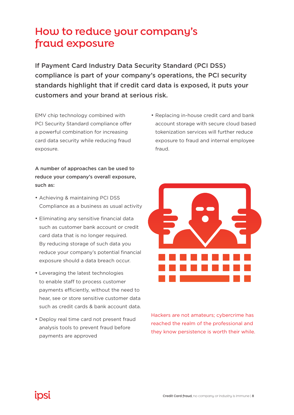#### **How to reduce your company's fraud exposure**

If Payment Card Industry Data Security Standard (PCI DSS) compliance is part of your company's operations, the PCI security standards highlight that if credit card data is exposed, it puts your customers and your brand at serious risk.

EMV chip technology combined with PCI Security Standard compliance offer a powerful combination for increasing card data security while reducing fraud exposure.

A number of approaches can be used to reduce your company's overall exposure, such as:

- Achieving & maintaining PCI DSS Compliance as a business as usual activity
- Eliminating any sensitive financial data such as customer bank account or credit card data that is no longer required. By reducing storage of such data you reduce your company's potential financial exposure should a data breach occur.
- Leveraging the latest technologies to enable staff to process customer payments efficiently, without the need to hear, see or store sensitive customer data such as credit cards & bank account data.
- Deploy real time card not present fraud analysis tools to prevent fraud before payments are approved

• Replacing in-house credit card and bank account storage with secure cloud based tokenization services will further reduce exposure to fraud and internal employee fraud.



Hackers are not amateurs; cybercrime has reached the realm of the professional and they know persistence is worth their while.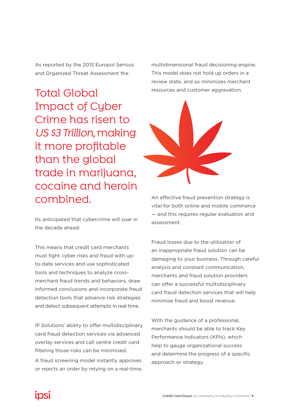As reported by the 2013 Europol Serious and Organized Threat Assessment the

Total Global Impact of Cyber Crime has risen to *US \$3 Trillion*, making it more profitable than the global trade in marijuana, cocaine and heroin combined.

Its anticipated that cybercrime will soar in the decade ahead.

This means that credit card merchants must fight cyber risks and fraud with upto-date services and use sophisticated tools and techniques to analyze crossmerchant fraud trends and behaviors, draw informed conclusions and incorporate fraud detection tools that advance risk strategies and detect subsequent attempts in real time.

IP Solutions' ability to offer multidisciplinary card fraud detection services via advanced overlay services and call centre credit card filtering those risks can be minimised.

A fraud screening model instantly approves or rejects an order by relying on a real-time, multidimensional fraud decisioning engine. This model does not hold up orders in a review state, and so minimizes merchant resources and customer aggravation.



An effective fraud prevention strategy is vital for both online and mobile commerce — and this requires regular evaluation and assessment.

Fraud losses due to the utilization of an inappropriate fraud solution can be damaging to your business. Through careful analysis and constant communication, merchants and fraud solution providers can offer a successful multidisciplinary card fraud detection services that will help minimise fraud and boost revenue.

With the guidance of a professional, merchants should be able to track Key Performance Indicators (KPIs), which help to gauge organizational success and determine the progress of a specific approach or strategy.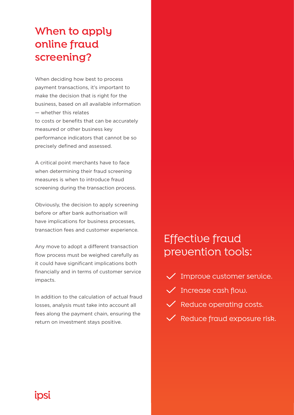#### **When to apply online fraud screening?**

When deciding how best to process payment transactions, it's important to make the decision that is right for the business, based on all available information — whether this relates to costs or benefits that can be accurately measured or other business key performance indicators that cannot be so precisely defined and assessed.

A critical point merchants have to face when determining their fraud screening measures is when to introduce fraud screening during the transaction process.

Obviously, the decision to apply screening before or after bank authorisation will have implications for business processes, transaction fees and customer experience.

Any move to adopt a different transaction flow process must be weighed carefully as it could have significant implications both financially and in terms of customer service impacts.

In addition to the calculation of actual fraud losses, analysis must take into account all fees along the payment chain, ensuring the return on investment stays positive.

#### Effective fraud prevention tools:

- $\checkmark$  Improve customer service.
- $\checkmark$  Increase cash flow.
- $\vee$  Reduce operating costs.
- **V** Reduce fraud exposure risk.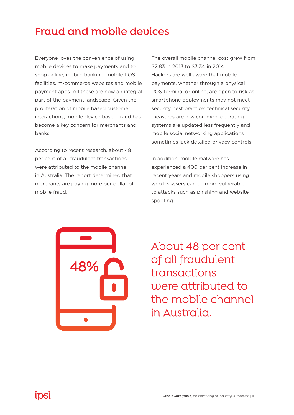#### **Fraud and mobile devices**

Everyone loves the convenience of using mobile devices to make payments and to shop online, mobile banking, mobile POS facilities, m-commerce websites and mobile payment apps. All these are now an integral part of the payment landscape. Given the proliferation of mobile based customer interactions, mobile device based fraud has become a key concern for merchants and banks.

According to recent research, about 48 per cent of all fraudulent transactions were attributed to the mobile channel in Australia. The report determined that merchants are paying more per dollar of mobile fraud.

The overall mobile channel cost grew from \$2.83 in 2013 to \$3.34 in 2014. Hackers are well aware that mobile payments, whether through a physical POS terminal or online, are open to risk as smartphone deployments may not meet security best practice: technical security measures are less common, operating systems are updated less frequently and mobile social networking applications sometimes lack detailed privacy controls.

In addition, mobile malware has experienced a 400 per cent increase in recent years and mobile shoppers using web browsers can be more vulnerable to attacks such as phishing and website spoofing.



About 48 per cent of all fraudulent transactions were attributed to the mobile channel in Australia.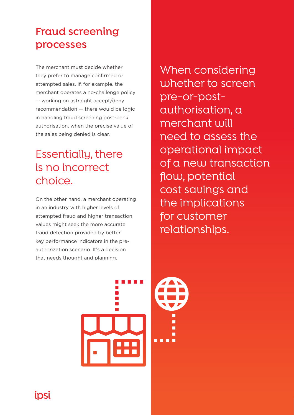#### **Fraud screening processes**

The merchant must decide whether they prefer to manage confirmed or attempted sales. If, for example, the merchant operates a no-challenge policy — working on astraight accept/deny recommendation — there would be logic in handling fraud screening post-bank authorisation, when the precise value of the sales being denied is clear.

#### Essentially, there is no incorrect choice.

On the other hand, a merchant operating in an industry with higher levels of attempted fraud and higher transaction values might seek the more accurate fraud detection provided by better key performance indicators in the preauthorization scenario. It's a decision that needs thought and planning.

When considering whether to screen pre-or-postauthorisation, a merchant will need to assess the operational impact of a new transaction flow, potential cost savings and the implications for customer relationships.





ipsi